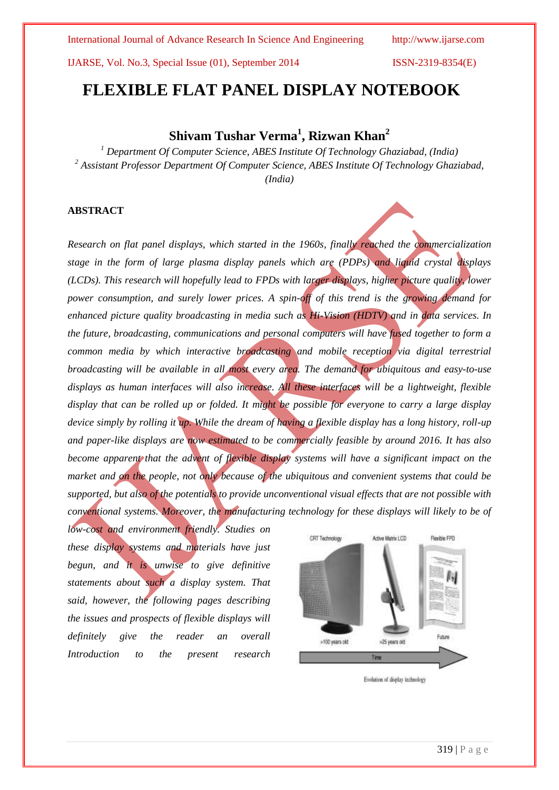International Journal of Advance Research In Science And Engineering http://www.ijarse.com

IJARSE, Vol. No.3, Special Issue (01), September 2014 ISSN-2319-8354(E)

# **FLEXIBLE FLAT PANEL DISPLAY NOTEBOOK**

# **Shivam Tushar Verma<sup>1</sup> , Rizwan Khan<sup>2</sup>**

*<sup>1</sup> Department Of Computer Science, ABES Institute Of Technology Ghaziabad, (India) <sup>2</sup> Assistant Professor Department Of Computer Science, ABES Institute Of Technology Ghaziabad, (India)*

# **ABSTRACT**

*Research on flat panel displays, which started in the 1960s, finally reached the commercialization stage in the form of large plasma display panels which are (PDPs) and liquid crystal displays (LCDs). This research will hopefully lead to FPDs with larger displays, higher picture quality, lower power consumption, and surely lower prices. A spin-off of this trend is the growing demand for enhanced picture quality broadcasting in media such as Hi-Vision (HDTV) and in data services. In the future, broadcasting, communications and personal computers will have fused together to form a common media by which interactive broadcasting and mobile reception via digital terrestrial broadcasting will be available in all most every area. The demand for ubiquitous and easy-to-use displays as human interfaces will also increase. All these interfaces will be a lightweight, flexible display that can be rolled up or folded. It might be possible for everyone to carry a large display device simply by rolling it up. While the dream of having a flexible display has a long history, roll-up and paper-like displays are now estimated to be commercially feasible by around 2016. It has also become apparent that the advent of flexible display systems will have a significant impact on the market and on the people, not only because of the ubiquitous and convenient systems that could be supported, but also of the potentials to provide unconventional visual effects that are not possible with conventional systems. Moreover, the manufacturing technology for these displays will likely to be of* 

*low-cost and environment friendly. Studies on these display systems and materials have just begun, and it is unwise to give definitive statements about such a display system. That said, however, the following pages describing the issues and prospects of flexible displays will definitely give the reader an overall Introduction to the present research*



Evolution of display technology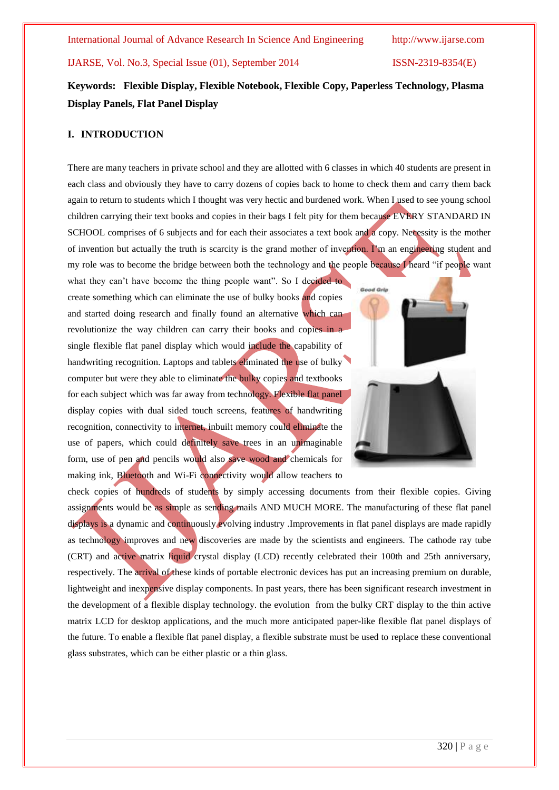# **Keywords: Flexible Display, Flexible Notebook, Flexible Copy, Paperless Technology, Plasma Display Panels, Flat Panel Display**

# **I. INTRODUCTION**

There are many teachers in private school and they are allotted with 6 classes in which 40 students are present in each class and obviously they have to carry dozens of copies back to home to check them and carry them back again to return to students which I thought was very hectic and burdened work. When I used to see young school children carrying their text books and copies in their bags I felt pity for them because EVERY STANDARD IN SCHOOL comprises of 6 subjects and for each their associates a text book and a copy. Necessity is the mother of invention but actually the truth is scarcity is the grand mother of invention. I"m an engineering student and my role was to become the bridge between both the technology and the people because I heard "if people want

what they can't have become the thing people want". So I decided to create something which can eliminate the use of bulky books and copies and started doing research and finally found an alternative which can revolutionize the way children can carry their books and copies in a single flexible flat panel display which would include the capability of handwriting recognition. Laptops and tablets eliminated the use of bulky computer but were they able to eliminate the bulky copies and textbooks for each subject which was far away from technology. Flexible flat panel display copies with dual sided touch screens, features of handwriting recognition, connectivity to internet, inbuilt memory could eliminate the use of papers, which could definitely save trees in an unimaginable form, use of pen and pencils would also save wood and chemicals for making ink, Bluetooth and Wi-Fi connectivity would allow teachers to



check copies of hundreds of students by simply accessing documents from their flexible copies. Giving assignments would be as simple as sending mails AND MUCH MORE. The manufacturing of these flat panel displays is a dynamic and continuously evolving industry .Improvements in flat panel displays are made rapidly as technology improves and new discoveries are made by the scientists and engineers. The cathode ray tube (CRT) and active matrix liquid crystal display (LCD) recently celebrated their 100th and 25th anniversary, respectively. The arrival of these kinds of portable electronic devices has put an increasing premium on durable, lightweight and inexpensive display components. In past years, there has been significant research investment in the development of a flexible display technology. the evolution from the bulky CRT display to the thin active matrix LCD for desktop applications, and the much more anticipated paper-like flexible flat panel displays of the future. To enable a flexible flat panel display, a flexible substrate must be used to replace these conventional glass substrates, which can be either plastic or a thin glass.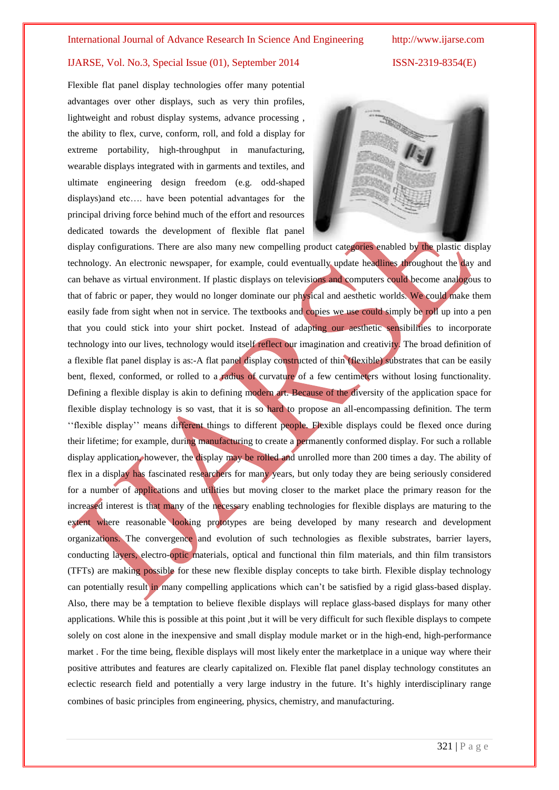Flexible flat panel display technologies offer many potential advantages over other displays, such as very thin profiles, lightweight and robust display systems, advance processing , the ability to flex, curve, conform, roll, and fold a display for extreme portability, high-throughput in manufacturing, wearable displays integrated with in garments and textiles, and ultimate engineering design freedom (e.g. odd-shaped displays)and etc…. have been potential advantages for the principal driving force behind much of the effort and resources dedicated towards the development of flexible flat panel



display configurations. There are also many new compelling product categories enabled by the plastic display technology. An electronic newspaper, for example, could eventually update headlines throughout the day and can behave as virtual environment. If plastic displays on televisions and computers could become analogous to that of fabric or paper, they would no longer dominate our physical and aesthetic worlds. We could make them easily fade from sight when not in service. The textbooks and copies we use could simply be roll up into a pen that you could stick into your shirt pocket. Instead of adapting our aesthetic sensibilities to incorporate technology into our lives, technology would itself reflect our imagination and creativity. The broad definition of a flexible flat panel display is as:-A flat panel display constructed of thin (flexible) substrates that can be easily bent, flexed, conformed, or rolled to a radius of curvature of a few centimeters without losing functionality. Defining a flexible display is akin to defining modern art. Because of the diversity of the application space for flexible display technology is so vast, that it is so hard to propose an all-encompassing definition. The term "flexible display" means different things to different people. Flexible displays could be flexed once during their lifetime; for example, during manufacturing to create a permanently conformed display. For such a rollable display application, however, the display may be rolled and unrolled more than 200 times a day. The ability of flex in a display has fascinated researchers for many years, but only today they are being seriously considered for a number of applications and utilities but moving closer to the market place the primary reason for the increased interest is that many of the necessary enabling technologies for flexible displays are maturing to the extent where reasonable looking prototypes are being developed by many research and development organizations. The convergence and evolution of such technologies as flexible substrates, barrier layers, conducting layers, electro-optic materials, optical and functional thin film materials, and thin film transistors (TFTs) are making possible for these new flexible display concepts to take birth. Flexible display technology can potentially result in many compelling applications which can"t be satisfied by a rigid glass-based display. Also, there may be a temptation to believe flexible displays will replace glass-based displays for many other applications. While this is possible at this point ,but it will be very difficult for such flexible displays to compete solely on cost alone in the inexpensive and small display module market or in the high-end, high-performance market . For the time being, flexible displays will most likely enter the marketplace in a unique way where their positive attributes and features are clearly capitalized on. Flexible flat panel display technology constitutes an eclectic research field and potentially a very large industry in the future. It"s highly interdisciplinary range combines of basic principles from engineering, physics, chemistry, and manufacturing.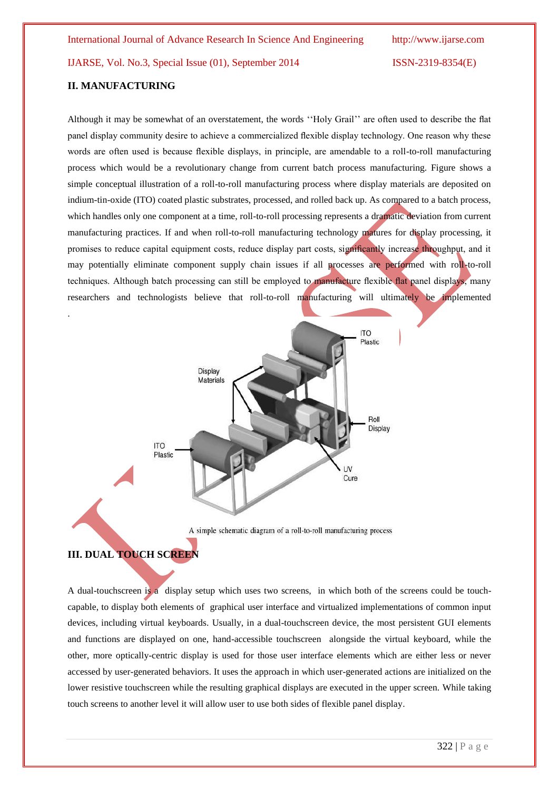### **II. MANUFACTURING**

.

Although it may be somewhat of an overstatement, the words ""Holy Grail"" are often used to describe the flat panel display community desire to achieve a commercialized flexible display technology. One reason why these words are often used is because flexible displays, in principle, are amendable to a roll-to-roll manufacturing process which would be a revolutionary change from current batch process manufacturing. Figure shows a simple conceptual illustration of a roll-to-roll manufacturing process where display materials are deposited on indium-tin-oxide (ITO) coated plastic substrates, processed, and rolled back up. As compared to a batch process, which handles only one component at a time, roll-to-roll processing represents a dramatic deviation from current manufacturing practices. If and when roll-to-roll manufacturing technology matures for display processing, it promises to reduce capital equipment costs, reduce display part costs, significantly increase throughput, and it may potentially eliminate component supply chain issues if all processes are performed with roll-to-roll techniques. Although batch processing can still be employed to manufacture flexible flat panel displays, many researchers and technologists believe that roll-to-roll manufacturing will ultimately be implemented



# **III. DUAL TOUCH SCREEN**

A dual-touchscreen is a display setup which uses two screens, in which both of the screens could be [touch](http://en.wikipedia.org/wiki/Touchscreen)[capable,](http://en.wikipedia.org/wiki/Touchscreen) to display both elements of [graphical user interface](http://en.wikipedia.org/wiki/Graphical_user_interface) and virtualized implementations of common input devices, including [virtual](http://en.wikipedia.org/wiki/Virtual_keyboard) [keyboards.](http://en.wikipedia.org/wiki/Keyboard_(computing)) Usually, in a dual-touchscreen device, the most persistent GUI elements and functions are displayed on one, hand-accessible touchscreen alongside the virtual keyboard, while the other, more optically-centric display is used for those user interface elements which are either less or never accessed by user-generated behaviors. It uses the approach in which user-generated actions are initialized on the lower resistive touchscreen while the resulting graphical displays are executed in the upper screen. While taking touch screens to another level it will allow user to use both sides of flexible panel display.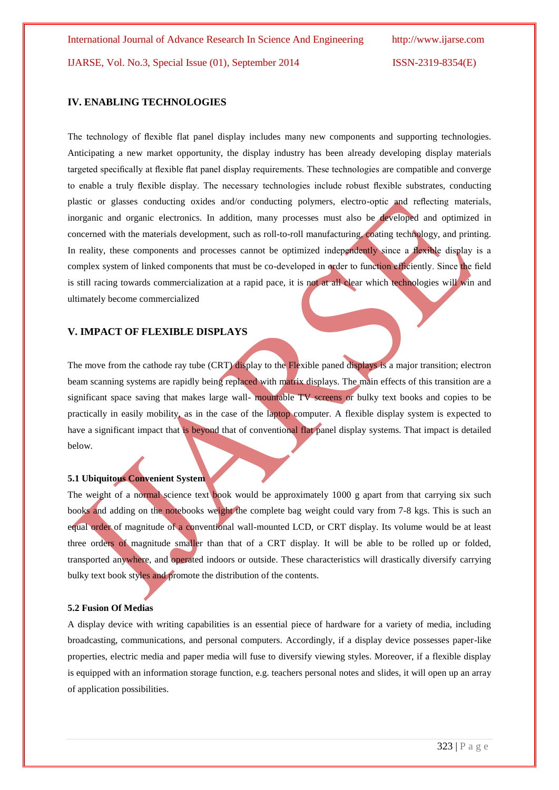### **IV. ENABLING TECHNOLOGIES**

The technology of flexible flat panel display includes many new components and supporting technologies. Anticipating a new market opportunity, the display industry has been already developing display materials targeted specifically at flexible flat panel display requirements. These technologies are compatible and converge to enable a truly flexible display. The necessary technologies include robust flexible substrates, conducting plastic or glasses conducting oxides and/or conducting polymers, electro-optic and reflecting materials, inorganic and organic electronics. In addition, many processes must also be developed and optimized in concerned with the materials development, such as roll-to-roll manufacturing, coating technology, and printing. In reality, these components and processes cannot be optimized independently since a flexible display is a complex system of linked components that must be co-developed in order to function efficiently. Since the field is still racing towards commercialization at a rapid pace, it is not at all clear which technologies will win and ultimately become commercialized

#### **V. IMPACT OF FLEXIBLE DISPLAYS**

The move from the cathode ray tube (CRT) display to the Flexible paned displays is a major transition; electron beam scanning systems are rapidly being replaced with matrix displays. The main effects of this transition are a significant space saving that makes large wall- mountable TV screens or bulky text books and copies to be practically in easily mobility, as in the case of the laptop computer. A flexible display system is expected to have a significant impact that is beyond that of conventional flat panel display systems. That impact is detailed below.

# **5.1 Ubiquitous Convenient System**

The weight of a normal science text book would be approximately 1000 g apart from that carrying six such books and adding on the notebooks weight the complete bag weight could vary from 7-8 kgs. This is such an equal order of magnitude of a conventional wall-mounted LCD, or CRT display. Its volume would be at least three orders of magnitude smaller than that of a CRT display. It will be able to be rolled up or folded, transported anywhere, and operated indoors or outside. These characteristics will drastically diversify carrying bulky text book styles and promote the distribution of the contents.

#### **5.2 Fusion Of Medias**

A display device with writing capabilities is an essential piece of hardware for a variety of media, including broadcasting, communications, and personal computers. Accordingly, if a display device possesses paper-like properties, electric media and paper media will fuse to diversify viewing styles. Moreover, if a flexible display is equipped with an information storage function, e.g. teachers personal notes and slides, it will open up an array of application possibilities.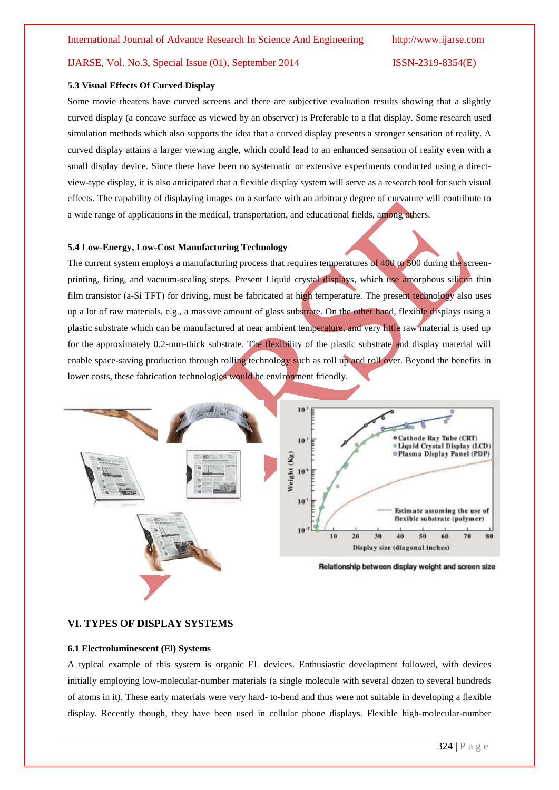#### **5.3 Visual Effects Of Curved Display**

Some movie theaters have curved screens and there are subjective evaluation results showing that a slightly curved display (a concave surface as viewed by an observer) is Preferable to a flat display. Some research used simulation methods which also supports the idea that a curved display presents a stronger sensation of reality. A curved display attains a larger viewing angle, which could lead to an enhanced sensation of reality even with a small display device. Since there have been no systematic or extensive experiments conducted using a directview-type display, it is also anticipated that a flexible display system will serve as a research tool for such visual effects. The capability of displaying images on a surface with an arbitrary degree of curvature will contribute to a wide range of applications in the medical, transportation, and educational fields, among others.

#### **5.4 Low-Energy, Low-Cost Manufacturing Technology**

The current system employs a manufacturing process that requires temperatures of 400 to 500 during the screenprinting, firing, and vacuum-sealing steps. Present Liquid crystal displays, which use amorphous silicon thin film transistor (a-Si TFT) for driving, must be fabricated at high temperature. The present technology also uses up a lot of raw materials, e.g., a massive amount of glass substrate. On the other hand, flexible displays using a plastic substrate which can be manufactured at near ambient temperature, and very little raw material is used up for the approximately 0.2-mm-thick substrate. The flexibility of the plastic substrate and display material will enable space-saving production through rolling technology such as roll up and roll over. Beyond the benefits in lower costs, these fabrication technologies would be environment friendly.



### **VI. TYPES OF DISPLAY SYSTEMS**

#### **6.1 Electroluminescent (El) Systems**

A typical example of this system is organic EL devices. Enthusiastic development followed, with devices initially employing low-molecular-number materials (a single molecule with several dozen to several hundreds of atoms in it). These early materials were very hard- to-bend and thus were not suitable in developing a flexible display. Recently though, they have been used in cellular phone displays. Flexible high-molecular-number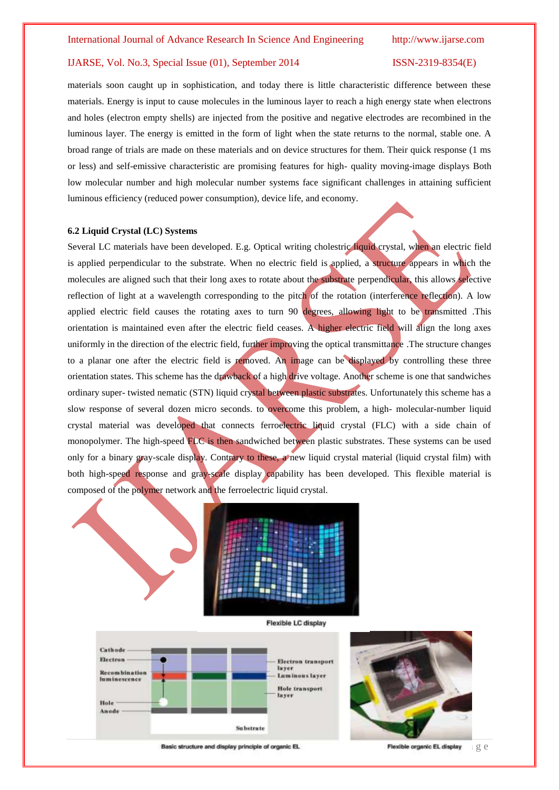materials soon caught up in sophistication, and today there is little characteristic difference between these materials. Energy is input to cause molecules in the luminous layer to reach a high energy state when electrons and holes (electron empty shells) are injected from the positive and negative electrodes are recombined in the luminous layer. The energy is emitted in the form of light when the state returns to the normal, stable one. A broad range of trials are made on these materials and on device structures for them. Their quick response (1 ms or less) and self-emissive characteristic are promising features for high- quality moving-image displays Both low molecular number and high molecular number systems face significant challenges in attaining sufficient luminous efficiency (reduced power consumption), device life, and economy.

## **6.2 Liquid Crystal (LC) Systems**

Several LC materials have been developed. E.g. Optical writing cholestric liquid crystal, when an electric field is applied perpendicular to the substrate. When no electric field is applied, a structure appears in which the molecules are aligned such that their long axes to rotate about the substrate perpendicular, this allows selective reflection of light at a wavelength corresponding to the pitch of the rotation (interference reflection). A low applied electric field causes the rotating axes to turn 90 degrees, allowing light to be transmitted .This orientation is maintained even after the electric field ceases. A higher electric field will align the long axes uniformly in the direction of the electric field, further improving the optical transmittance. The structure changes to a planar one after the electric field is removed. An image can be displayed by controlling these three orientation states. This scheme has the drawback of a high drive voltage. Another scheme is one that sandwiches ordinary super- twisted nematic (STN) liquid crystal between plastic substrates. Unfortunately this scheme has a slow response of several dozen micro seconds. to overcome this problem, a high- molecular-number liquid crystal material was developed that connects ferroelectric liquid crystal (FLC) with a side chain of monopolymer. The high-speed FLC is then sandwiched between plastic substrates. These systems can be used only for a binary gray-scale display. Contrary to these, a new liquid crystal material (liquid crystal film) with both high-speed response and gray-scale display capability has been developed. This flexible material is composed of the polymer network and the ferroelectric liquid crystal.



Cathode Electron Electron transport **Recombination** Luminous layer luminescence **Hole** transport layer Hole Anode **Substrate** 

Basic structure and display principle of organic EL.

Flexible organic EL display get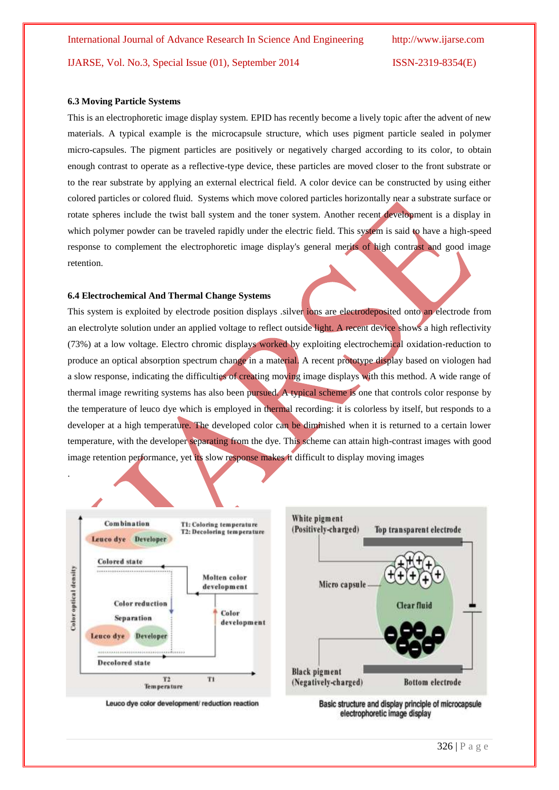#### **6.3 Moving Particle Systems**

This is an electrophoretic image display system. EPID has recently become a lively topic after the advent of new materials. A typical example is the microcapsule structure, which uses pigment particle sealed in polymer micro-capsules. The pigment particles are positively or negatively charged according to its color, to obtain enough contrast to operate as a reflective-type device, these particles are moved closer to the front substrate or to the rear substrate by applying an external electrical field. A color device can be constructed by using either colored particles or colored fluid. Systems which move colored particles horizontally near a substrate surface or rotate spheres include the twist ball system and the toner system. Another recent development is a display in which polymer powder can be traveled rapidly under the electric field. This system is said to have a high-speed response to complement the electrophoretic image display's general merits of high contrast and good image retention.

## **6.4 Electrochemical And Thermal Change Systems**

This system is exploited by electrode position displays .silver ions are electrodeposited onto an electrode from an electrolyte solution under an applied voltage to reflect outside light. A recent device shows a high reflectivity (73%) at a low voltage. Electro chromic displays worked by exploiting electrochemical oxidation-reduction to produce an optical absorption spectrum change in a material. A recent prototype display based on viologen had a slow response, indicating the difficulties of creating moving image displays with this method. A wide range of thermal image rewriting systems has also been pursued. A typical scheme is one that controls color response by the temperature of leuco dye which is employed in thermal recording: it is colorless by itself, but responds to a developer at a high temperature. The developed color can be diminished when it is returned to a certain lower temperature, with the developer separating from the dye. This scheme can attain high-contrast images with good image retention performance, yet its slow response makes it difficult to display moving images



.

White pigment (Positively-charged) Top transparent electrode Micro capsule **Clear fluid Black pigment** (Negatively-charged) **Bottom** electrode

Leuco dye color development/ reduction reaction

Basic structure and display principle of microcapsule electrophoretic image display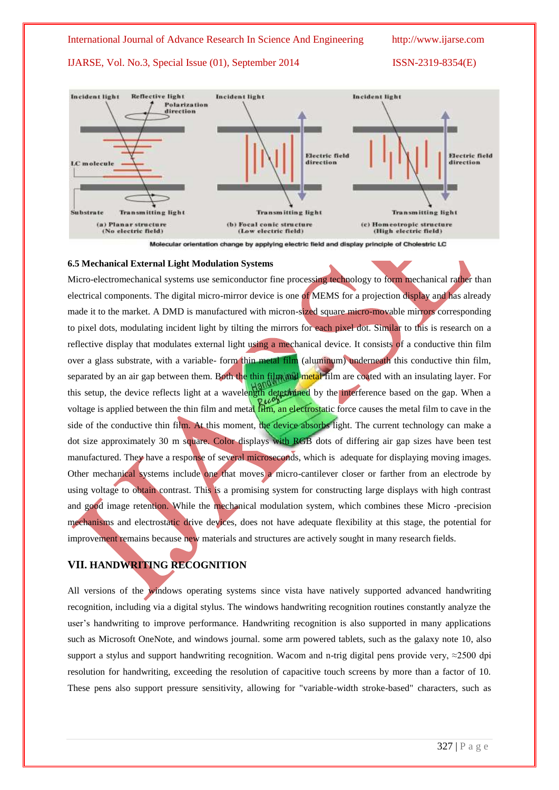### International Journal of Advance Research In Science And Engineering http://www.ijarse.com

# IJARSE, Vol. No.3, Special Issue (01), September 2014 ISSN-2319-8354(E)



Molecular orientation change by applying electric field and display principle of Cholestric LC

# **6.5 Mechanical External Light Modulation Systems**

Micro-electromechanical systems use semiconductor fine processing technology to form mechanical rather than electrical components. The digital micro-mirror device is one of MEMS for a projection display and has already made it to the market. A DMD is manufactured with micron-sized square micro-movable mirrors corresponding to pixel dots, modulating incident light by tilting the mirrors for each pixel dot. Similar to this is research on a reflective display that modulates external light using a mechanical device. It consists of a conductive thin film over a glass substrate, with a variable- form thin metal film (aluminum) underneath this conductive thin film, separated by an air gap between them. Both the thin film and metal film are coated with an insulating layer. For this setup, the device reflects light at a wavelength determined by the interference based on the gap. When a voltage is applied between the thin film and metal film, an electrostatic force causes the metal film to cave in the side of the conductive thin film. At this moment, the device absorbs light. The current technology can make a dot size approximately 30 m square. Color displays with RGB dots of differing air gap sizes have been test manufactured. They have a response of several microseconds, which is adequate for displaying moving images. Other mechanical systems include one that moves a micro-cantilever closer or farther from an electrode by using voltage to obtain contrast. This is a promising system for constructing large displays with high contrast and good image retention. While the mechanical modulation system, which combines these Micro -precision mechanisms and electrostatic drive devices, does not have adequate flexibility at this stage, the potential for improvement remains because new materials and structures are actively sought in many research fields.

# **VII. HANDWRITING RECOGNITION**

All versions of the windows operating systems since vista have natively supported advanced handwriting recognition, including via a digital stylus. The windows handwriting recognition routines constantly analyze the user"s handwriting to improve performance. Handwriting recognition is also supported in many applications such as Microsoft OneNote, and windows journal. some arm powered tablets, such as the [galaxy note 10,](http://en.wikipedia.org/wiki/Samsung_Galaxy_Note_10.1) also support a stylus and support [handwriting recognition.](http://en.wikipedia.org/wiki/Handwriting_recognition) Wacom and n-trig digital pens provide very,  $\approx$ 2500 dpi resolution for handwriting, exceeding the resolution of capacitive touch screens by more than a factor of 10. These pens also support pressure sensitivity, allowing for "variable-width stroke-based" characters, such as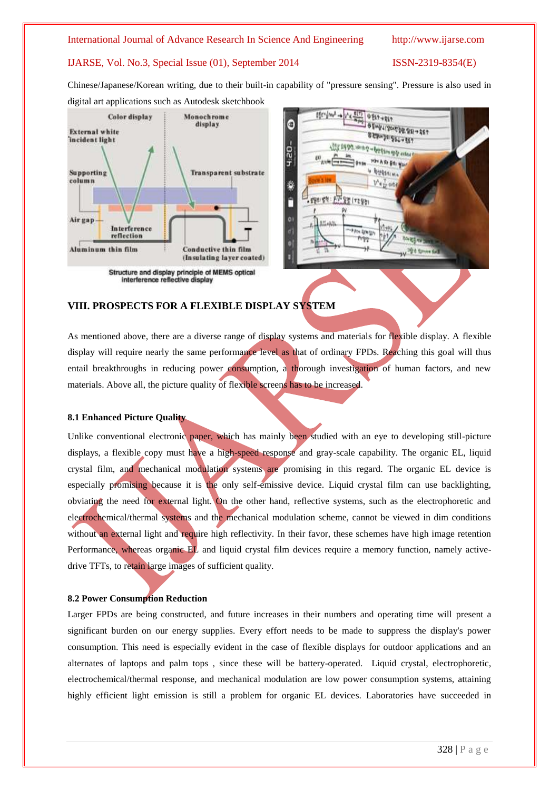### International Journal of Advance Research In Science And Engineering http://www.ijarse.com

## IJARSE, Vol. No.3, Special Issue (01), September 2014 ISSN-2319-8354(E)

Chinese/Japanese/Korean writing, due to their built-in capability of "pressure sensing". Pressure is also used in digital art applications such as Autodesk [sketchbook](http://en.wikipedia.org/wiki/Autodesk_Sketchbook)





# **VIII. PROSPECTS FOR A FLEXIBLE DISPLAY SYSTEM**

As mentioned above, there are a diverse range of display systems and materials for flexible display. A flexible display will require nearly the same performance level as that of ordinary FPDs. Reaching this goal will thus entail breakthroughs in reducing power consumption, a thorough investigation of human factors, and new materials. Above all, the picture quality of flexible screens has to be increased.

## **8.1 Enhanced Picture Quality**

Unlike conventional electronic paper, which has mainly been studied with an eye to developing still-picture displays, a flexible copy must have a high-speed response and gray-scale capability. The organic EL, liquid crystal film, and mechanical modulation systems are promising in this regard. The organic EL device is especially promising because it is the only self-emissive device. Liquid crystal film can use backlighting, obviating the need for external light. On the other hand, reflective systems, such as the electrophoretic and electrochemical/thermal systems and the mechanical modulation scheme, cannot be viewed in dim conditions without an external light and require high reflectivity. In their favor, these schemes have high image retention Performance, whereas organic EL and liquid crystal film devices require a memory function, namely activedrive TFTs, to retain large images of sufficient quality.

# **8.2 Power Consumption Reduction**

Larger FPDs are being constructed, and future increases in their numbers and operating time will present a significant burden on our energy supplies. Every effort needs to be made to suppress the display's power consumption. This need is especially evident in the case of flexible displays for outdoor applications and an alternates of laptops and palm tops , since these will be battery-operated. Liquid crystal, electrophoretic, electrochemical/thermal response, and mechanical modulation are low power consumption systems, attaining highly efficient light emission is still a problem for organic EL devices. Laboratories have succeeded in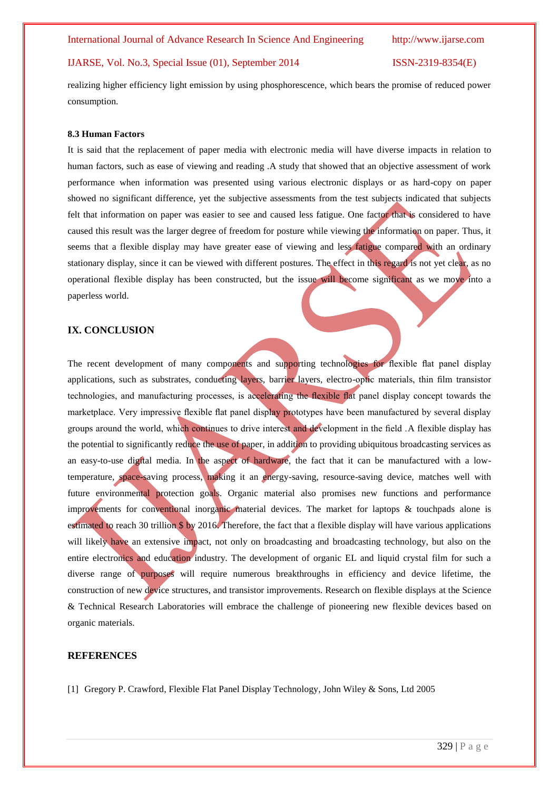realizing higher efficiency light emission by using phosphorescence, which bears the promise of reduced power consumption.

#### **8.3 Human Factors**

It is said that the replacement of paper media with electronic media will have diverse impacts in relation to human factors, such as ease of viewing and reading .A study that showed that an objective assessment of work performance when information was presented using various electronic displays or as hard-copy on paper showed no significant difference, yet the subjective assessments from the test subjects indicated that subjects felt that information on paper was easier to see and caused less fatigue. One factor that is considered to have caused this result was the larger degree of freedom for posture while viewing the information on paper. Thus, it seems that a flexible display may have greater ease of viewing and less fatigue compared with an ordinary stationary display, since it can be viewed with different postures. The effect in this regard is not yet clear, as no operational flexible display has been constructed, but the issue will become significant as we move into a paperless world.

## **IX. CONCLUSION**

The recent development of many components and supporting technologies for flexible flat panel display applications, such as substrates, conducting layers, barrier layers, electro-optic materials, thin film transistor technologies, and manufacturing processes, is accelerating the flexible flat panel display concept towards the marketplace. Very impressive flexible flat panel display prototypes have been manufactured by several display groups around the world, which continues to drive interest and development in the field .A flexible display has the potential to significantly reduce the use of paper, in addition to providing ubiquitous broadcasting services as an easy-to-use digital media. In the aspect of hardware, the fact that it can be manufactured with a lowtemperature, space-saving process, making it an energy-saving, resource-saving device, matches well with future environmental protection goals. Organic material also promises new functions and performance improvements for conventional inorganic material devices. The market for laptops & touchpads alone is estimated to reach 30 trillion \$ by 2016. Therefore, the fact that a flexible display will have various applications will likely have an extensive impact, not only on broadcasting and broadcasting technology, but also on the entire electronics and education industry. The development of organic EL and liquid crystal film for such a diverse range of purposes will require numerous breakthroughs in efficiency and device lifetime, the construction of new device structures, and transistor improvements. Research on flexible displays at the Science & Technical Research Laboratories will embrace the challenge of pioneering new flexible devices based on organic materials.

#### **REFERENCES**

[1] Gregory P. Crawford, Flexible Flat Panel Display Technology, John Wiley & Sons, Ltd 2005